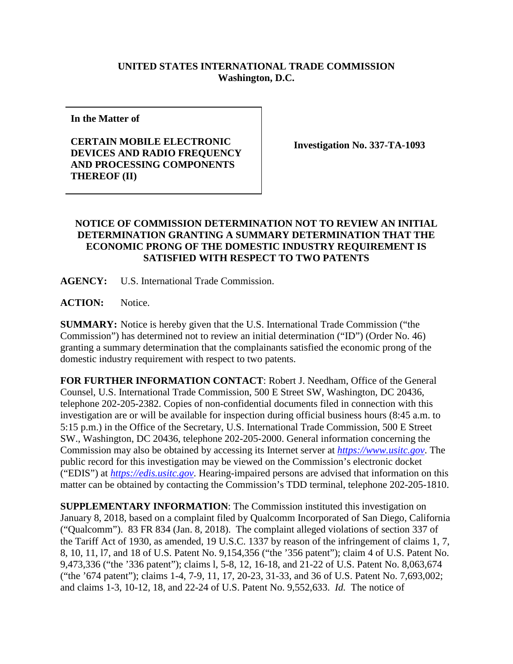## **UNITED STATES INTERNATIONAL TRADE COMMISSION Washington, D.C.**

**In the Matter of**

**CERTAIN MOBILE ELECTRONIC DEVICES AND RADIO FREQUENCY AND PROCESSING COMPONENTS THEREOF (II)**

**Investigation No. 337-TA-1093**

## **NOTICE OF COMMISSION DETERMINATION NOT TO REVIEW AN INITIAL DETERMINATION GRANTING A SUMMARY DETERMINATION THAT THE ECONOMIC PRONG OF THE DOMESTIC INDUSTRY REQUIREMENT IS SATISFIED WITH RESPECT TO TWO PATENTS**

**AGENCY:** U.S. International Trade Commission.

ACTION: Notice.

**SUMMARY:** Notice is hereby given that the U.S. International Trade Commission ("the Commission") has determined not to review an initial determination ("ID") (Order No. 46) granting a summary determination that the complainants satisfied the economic prong of the domestic industry requirement with respect to two patents.

**FOR FURTHER INFORMATION CONTACT**: Robert J. Needham, Office of the General Counsel, U.S. International Trade Commission, 500 E Street SW, Washington, DC 20436, telephone 202-205-2382. Copies of non-confidential documents filed in connection with this investigation are or will be available for inspection during official business hours (8:45 a.m. to 5:15 p.m.) in the Office of the Secretary, U.S. International Trade Commission, 500 E Street SW., Washington, DC 20436, telephone 202-205-2000. General information concerning the Commission may also be obtained by accessing its Internet server at *[https://www.usitc.gov](https://www.usitc.gov/)*. The public record for this investigation may be viewed on the Commission's electronic docket ("EDIS") at *[https://edis.usitc.gov](https://edis.usitc.gov/)*. Hearing-impaired persons are advised that information on this matter can be obtained by contacting the Commission's TDD terminal, telephone 202-205-1810.

**SUPPLEMENTARY INFORMATION**: The Commission instituted this investigation on January 8, 2018, based on a complaint filed by Qualcomm Incorporated of San Diego, California ("Qualcomm"). 83 FR 834 (Jan. 8, 2018). The complaint alleged violations of section 337 of the Tariff Act of 1930, as amended, 19 U.S.C. 1337 by reason of the infringement of claims 1, 7, 8, 10, 11, l7, and 18 of U.S. Patent No. 9,154,356 ("the '356 patent"); claim 4 of U.S. Patent No. 9,473,336 ("the '336 patent"); claims l, 5-8, 12, 16-18, and 21-22 of U.S. Patent No. 8,063,674 ("the '674 patent"); claims 1-4, 7-9, 11, 17, 20-23, 31-33, and 36 of U.S. Patent No. 7,693,002; and claims 1-3, 10-12, 18, and 22-24 of U.S. Patent No. 9,552,633. *Id.* The notice of